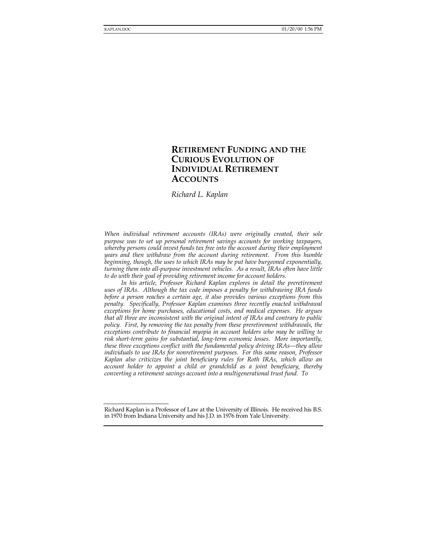# **RETIREMENT FUNDING AND THE CURIOUS EVOLUTION OF INDIVIDUAL RETIREMENT ACCOUNTS**

*Richard L. Kaplan*

*When individual retirement accounts (IRAs) were originally created, their sole purpose was to set up personal retirement savings accounts for working taxpayers, whereby persons could invest funds tax free into the account during their employment years and then withdraw from the account during retirement. From this humble beginning, though, the uses to which IRAs may be put have burgeoned exponentially, turning them into all-purpose investment vehicles. As a result, IRAs often have little to do with their goal of providing retirement income for account holders.*

*In his article, Professor Richard Kaplan explores in detail the preretirement uses of IRAs. Although the tax code imposes a penalty for withdrawing IRA funds before a person reaches a certain age, it also provides various exceptions from this penalty. Specifically, Professor Kaplan examines three recently enacted withdrawal exceptions for home purchases, educational costs, and medical expenses. He argues that all three are inconsistent with the original intent of IRAs and contrary to public policy. First, by removing the tax penalty from these preretirement withdrawals, the exceptions contribute to financial myopia in account holders who may be willing to risk short-term gains for substantial, long-term economic losses. More importantly, these three exceptions conflict with the fundamental policy driving IRAs—they allow individuals to use IRAs for nonretirement purposes. For this same reason, Professor Kaplan also criticizes the joint beneficiary rules for Roth IRAs, which allow an account holder to appoint a child or grandchild as a joint beneficiary, thereby converting a retirement savings account into a multigenerational trust fund. To*

Richard Kaplan is a Professor of Law at the University of Illinois. He received his B.S. in 1970 from Indiana University and his J.D. in 1976 from Yale University.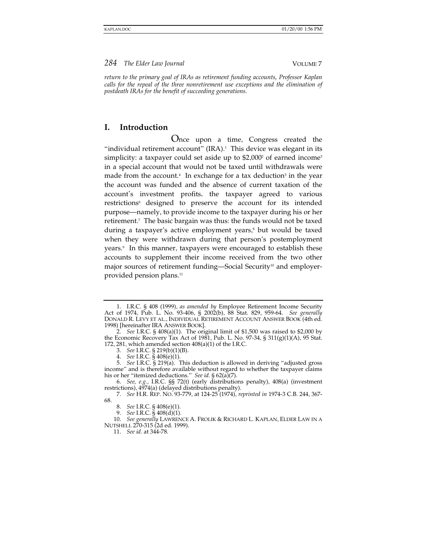*return to the primary goal of IRAs as retirement funding accounts, Professor Kaplan calls for the repeal of the three nonretirement use exceptions and the elimination of postdeath IRAs for the benefit of succeeding generations.*

## **I. Introduction**

Once upon a time, Congress created the "individual retirement account" (IRA). $^1$  This device was elegant in its simplicity: a taxpayer could set aside up to \$2,000<sup>2</sup> of earned income<sup>3</sup> in a special account that would not be taxed until withdrawals were made from the account.<sup>4</sup> In exchange for a tax deduction<sup>5</sup> in the year the account was funded and the absence of current taxation of the account's investment profits, the taxpayer agreed to various restrictions<sup>6</sup> designed to preserve the account for its intended purpose—namely, to provide income to the taxpayer during his or her retirement.7 The basic bargain was thus: the funds would not be taxed during a taxpayer's active employment years, 8 but would be taxed when they were withdrawn during that person's postemployment years.9 In this manner, taxpayers were encouraged to establish these accounts to supplement their income received from the two other major sources of retirement funding—Social Security<sup>10</sup> and employerprovided pension plans.<sup>11</sup>

3. *See* I.R.C. § 219(b)(1)(B).

6. *See, e.g.*, I.R.C. §§ 72(t) (early distributions penalty), 408(a) (investment restrictions), 4974(a) (delayed distributions penalty).

7. *See* H.R. REP. NO. 93-779, at 124-25 (1974), *reprinted in* 1974-3 C.B. 244, 367- 68.

9. *See* I.R.C. § 408(d)(1).

10. *See generally* LAWRENCE A. FROLIK & RICHARD L. KAPLAN, ELDER LAW IN A NUTSHELL 270-315 (2d ed. 1999).

11. *See id*. at 344-78.

<sup>1.</sup> I.R.C. § 408 (1999), *as amended by* Employee Retirement Income Security Act of 1974, Pub. L. No. 93-406, § 2002(b), 88 Stat. 829, 959-64. *See generally* DONALD R. LEVY ET AL., INDIVIDUAL RETIREMENT ACCOUNT ANSWER BOOK (4th ed. 1998) [hereinafter IRA ANSWER BOOK].

<sup>2.</sup> *See* I.R.C. § 408(a)(1). The original limit of \$1,500 was raised to \$2,000 by the Economic Recovery Tax Act of 1981, Pub. L. No. 97-34, § 311(g)(1)(A), 95 Stat. 172, 281, which amended section 408(a)(1) of the I.R.C.

<sup>4.</sup> *See* I.R.C. § 408(e)(1).

<sup>5.</sup> *See* I.R.C. § 219(a). This deduction is allowed in deriving "adjusted gross income" and is therefore available without regard to whether the taxpayer claims his or her "itemized deductions." *See id.* § 62(a)(7).

<sup>8.</sup> *See* I.R.C. § 408(e)(1).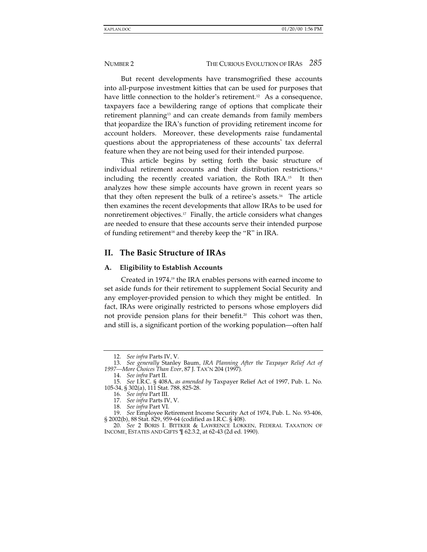But recent developments have transmogrified these accounts into all-purpose investment kitties that can be used for purposes that have little connection to the holder's retirement.<sup>12</sup> As a consequence, taxpayers face a bewildering range of options that complicate their retirement planning13 and can create demands from family members that jeopardize the IRA's function of providing retirement income for account holders. Moreover, these developments raise fundamental questions about the appropriateness of these accounts' tax deferral feature when they are not being used for their intended purpose.

This article begins by setting forth the basic structure of individual retirement accounts and their distribution restrictions, 14 including the recently created variation, the Roth IRA.15 It then analyzes how these simple accounts have grown in recent years so that they often represent the bulk of a retiree's assets.<sup>16</sup> The article then examines the recent developments that allow IRAs to be used for nonretirement objectives.<sup>17</sup> Finally, the article considers what changes are needed to ensure that these accounts serve their intended purpose of funding retirement<sup>18</sup> and thereby keep the "R" in IRA.

## **II. The Basic Structure of IRAs**

#### **A. Eligibility to Establish Accounts**

Created in 1974,<sup>19</sup> the IRA enables persons with earned income to set aside funds for their retirement to supplement Social Security and any employer-provided pension to which they might be entitled. In fact, IRAs were originally restricted to persons whose employers did not provide pension plans for their benefit.<sup>20</sup> This cohort was then, and still is, a significant portion of the working population—often half

<sup>12.</sup> *See infra* Parts IV, V.

<sup>13.</sup> *See generally* Stanley Baum, *IRA Planning After the Taxpayer Relief Act of 1997—More Choices Than Ever*, 87 J. TAX'N 204 (1997).

<sup>14.</sup> *See infra* Part II.

<sup>15.</sup> *See* I.R.C. § 408A, *as amended by* Taxpayer Relief Act of 1997, Pub. L. No. 105-34, § 302(a), 111 Stat. 788, 825-28.

<sup>16.</sup> *See infra* Part III.

<sup>17.</sup> *See infra* Parts IV, V.

<sup>18.</sup> *See infra* Part VI.

<sup>19.</sup> *See* Employee Retirement Income Security Act of 1974, Pub. L. No. 93-406, § 2002(b), 88 Stat. 829, 959-64 (codified as I.R.C. § 408).

<sup>20.</sup> *See* 2 BORIS I. BITTKER & LAWRENCE LOKKEN, FEDERAL TAXATION OF INCOME, ESTATES AND GIFTS ¶ 62.3.2, at 62-43 (2d ed. 1990).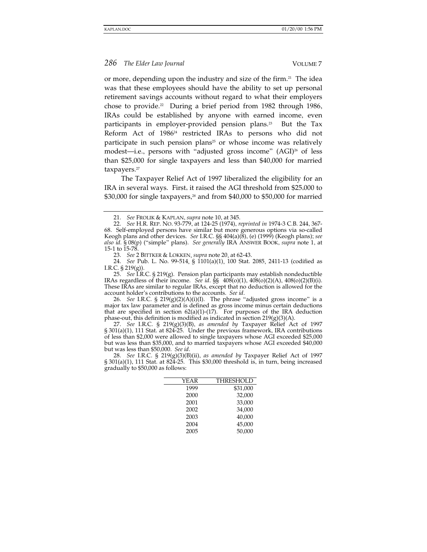or more, depending upon the industry and size of the firm.<sup>21</sup> The idea was that these employees should have the ability to set up personal retirement savings accounts without regard to what their employers chose to provide.<sup>22</sup> During a brief period from 1982 through 1986, IRAs could be established by anyone with earned income, even participants in employer-provided pension plans.<sup>23</sup> But the Tax Reform Act of 198624 restricted IRAs to persons who did not participate in such pension plans<sup>25</sup> or whose income was relatively modest—i.e., persons with "adjusted gross income" (AGI)<sup>26</sup> of less than \$25,000 for single taxpayers and less than \$40,000 for married taxpayers.<sup>27</sup>

The Taxpayer Relief Act of 1997 liberalized the eligibility for an IRA in several ways. First, it raised the AGI threshold from \$25,000 to \$30,000 for single taxpayers, 28 and from \$40,000 to \$50,000 for married

24. *See* Pub. L. No. 99-514, § 1101(a)(1), 100 Stat. 2085, 2411-13 (codified as I.R.C. § 219(g))

25. *See* I.R.C. § 219(g). Pension plan participants may establish nondeductible IRAs regardless of their income. *See id*. §§ 408(o)(1), 408(o)(2)(A), 408(o)(2)(B)(i). These IRAs are similar to regular IRAs, except that no deduction is allowed for the account holder's contributions to the accounts. *See id*.

26. *See* I.R.C. § 219(g)(2)(A)(i)(I). The phrase "adjusted gross income" is a major tax law parameter and is defined as gross income minus certain deductions that are specified in section 62(a)(1)-(17). For purposes of the IRA deduction phase-out, this definition is modified as indicated in section  $219(g)(3)(A)$ .

27. *See* I.R.C. § 219(g)(3)(B), *as amended by* Taxpayer Relief Act of 1997 § 301(a)(1), 111 Stat. at 824-25. Under the previous framework, IRA contributions of less than \$2,000 were allowed to single taxpayers whose AGI exceeded \$25,000 but was less than \$35,000, and to married taxpayers whose AGI exceeded \$40,000 but was less than \$50,000. *See id*.

28. *See* I.R.C. § 219(g)(3)(B)(ii), *as amended by* Taxpayer Relief Act of 1997 § 301(a)(1), 111 Stat. at 824-25. This \$30,000 threshold is, in turn, being increased gradually to \$50,000 as follows:

| YEAR | THRESHOLD |
|------|-----------|
| 1999 | \$31,000  |
| 2000 | 32,000    |
| 2001 | 33,000    |
| 2002 | 34,000    |
| 2003 | 40,000    |
| 2004 | 45,000    |
| 2005 | 50,000    |

<sup>21.</sup> *See* FROLIK & KAPLAN, *supra* note 10, at 345.

<sup>22.</sup> *See* H.R. REP. NO. 93-779, at 124-25 (1974), *reprinted in* 1974-3 C.B. 244, 367- 68. Self-employed persons have similar but more generous options via so-called Keogh plans and other devices. *See* I.R.C. §§ 404(a)(8), (e) (1999) (Keogh plans); *see also id.* § 08(p) ("simple" plans). *See generally* IRA ANSWER BOOK, *supra* note 1, at 15-1 to 15-78.

<sup>23.</sup> *See* 2 BITTKER & LOKKEN, *supra* note 20, at 62-43.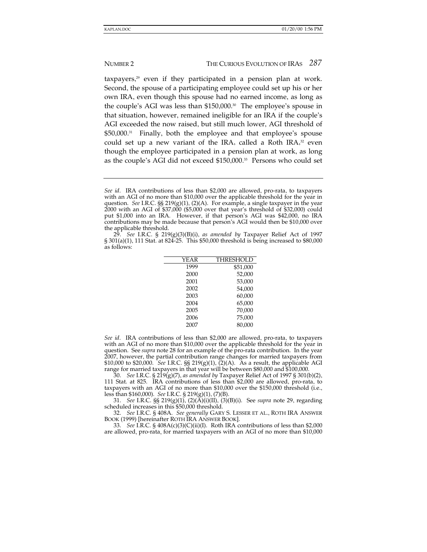taxpayers, 29 even if they participated in a pension plan at work. Second, the spouse of a participating employee could set up his or her own IRA, even though this spouse had no earned income, as long as the couple's AGI was less than \$150,000.<sup>30</sup> The employee's spouse in that situation, however, remained ineligible for an IRA if the couple's AGI exceeded the now raised, but still much lower, AGI threshold of \$50,000.<sup>31</sup> Finally, both the employee and that employee's spouse could set up a new variant of the IRA, called a Roth IRA, 32 even though the employee participated in a pension plan at work, as long as the couple's AGI did not exceed \$150,000.<sup>33</sup> Persons who could set

29. *See* I.R.C. § 219(g)(3)(B)(i), *as amended by* Taxpayer Relief Act of 1997 § 301(a)(1), 111 Stat. at 824-25. This \$50,000 threshold is being increased to \$80,000 as follows:

| YEAR | <b>THRESHOLD</b> |
|------|------------------|
| 1999 | \$51,000         |
| 2000 | 52,000           |
| 2001 | 53,000           |
| 2002 | 54,000           |
| 2003 | 60,000           |
| 2004 | 65,000           |
| 2005 | 70,000           |
| 2006 | 75,000           |
| 2007 | 80,000           |

*See id*. IRA contributions of less than \$2,000 are allowed, pro-rata, to taxpayers with an AGI of no more than \$10,000 over the applicable threshold for the year in question. See *supra* note 28 for an example of the pro-rata contribution. In the year 2007, however, the partial contribution range changes for married taxpayers from \$10,000 to \$20,000. *See* I.R.C. §§ 219(g)(1), (2)(A). As a result, the applicable AGI range for married taxpayers in that year will be between \$80,000 and \$100,000.

30. *See* I.R.C. § 219(g)(7), *as amended by* Taxpayer Relief Act of 1997 § 301(b)(2), 111 Stat. at 825. IRA contributions of less than \$2,000 are allowed, pro-rata, to taxpayers with an AGI of no more than \$10,000 over the \$150,000 threshold (i.e., less than \$160,000). *See* I.R.C. § 219(g)(1), (7)(B).

31. *See* I.R.C. §§ 219(g)(1), (2)(A)(i)(II), (3)(B)(i). See *supra* note 29, regarding scheduled increases in this \$50,000 threshold.

32. *See* I.R.C. § 408A. *See generally* GARY S. LESSER ET AL., ROTH IRA ANSWER BOOK (1999) [hereinafter ROTH IRA ANSWER BOOK].

33. *See* I.R.C. § 408A(c)(3)(C)(ii)(I). Roth IRA contributions of less than \$2,000 are allowed, pro-rata, for married taxpayers with an AGI of no more than \$10,000

*See id*. IRA contributions of less than \$2,000 are allowed, pro-rata, to taxpayers with an AGI of no more than \$10,000 over the applicable threshold for the year in question. *See* I.R.C. §§ 219(g)(1), (2)(A). For example, a single taxpayer in the year 2000 with an AGI of \$37,000 (\$5,000 over that year's threshold of \$32,000) could put \$1,000 into an IRA. However, if that person's AGI was \$42,000, no IRA contributions may be made because that person's AGI would then be \$10,000 over the applicable threshold.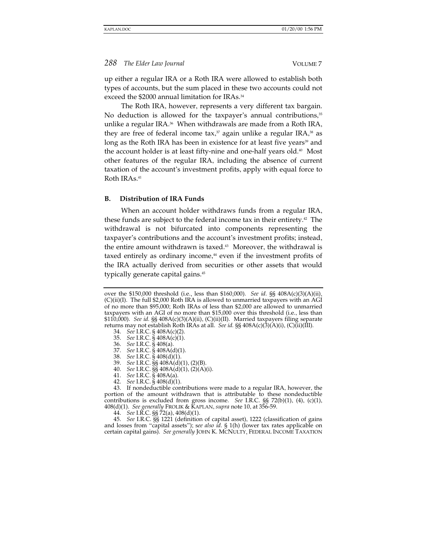up either a regular IRA or a Roth IRA were allowed to establish both types of accounts, but the sum placed in these two accounts could not exceed the \$2000 annual limitation for IRAs.<sup>34</sup>

The Roth IRA, however, represents a very different tax bargain. No deduction is allowed for the taxpayer's annual contributions, 35 unlike a regular IRA.36 When withdrawals are made from a Roth IRA, they are free of federal income tax,<sup>37</sup> again unlike a regular IRA,<sup>38</sup> as long as the Roth IRA has been in existence for at least five years<sup>39</sup> and the account holder is at least fifty-nine and one-half years old.<sup>40</sup> Most other features of the regular IRA, including the absence of current taxation of the account's investment profits, apply with equal force to Roth IRAs.<sup>41</sup>

#### **B. Distribution of IRA Funds**

When an account holder withdraws funds from a regular IRA, these funds are subject to the federal income tax in their entirety.<sup>42</sup> The withdrawal is not bifurcated into components representing the taxpayer's contributions and the account's investment profits; instead, the entire amount withdrawn is taxed.<sup>43</sup> Moreover, the withdrawal is taxed entirely as ordinary income,<sup>44</sup> even if the investment profits of the IRA actually derived from securities or other assets that would typically generate capital gains.45

- 36. *See* I.R.C. § 408(a).
- 37. *See* I.R.C. § 408A(d)(1).
- 38. *See* I.R.C. § 408(d)(1).
- 39. *See* I.R.C. §§ 408A(d)(1), (2)(B).
- 40. *See* I.R.C. §§ 408A(d)(1), (2)(A)(i).
- 41. *See* I.R.C. § 408A(a).
- 42. *See* I.R.C. § 408(d)(1).

43. If nondeductible contributions were made to a regular IRA, however, the portion of the amount withdrawn that is attributable to these nondeductible contributions is excluded from gross income. *See* I.R.C. §§ 72(b)(1), (4), (c)(1), 408(d)(1). *See generally* FROLIK & KAPLAN, *supra* note 10, at 356-59.

44. *See* I.R.C. §§ 72(a), 408(d)(1).

45. *See* I.R.C. §§ 1221 (definition of capital asset), 1222 (classification of gains and losses from "capital assets"); s*ee also id.* § 1(h) (lower tax rates applicable on certain capital gains). *See generally* JOHN K. MCNULTY, FEDERAL INCOME TAXATION

over the \$150,000 threshold (i.e., less than \$160,000). *See id.* §§ 408A(c)(3)(A)(ii),  $(C)(ii)(I)$ . The full \$2,000 Roth IRA is allowed to unmarried taxpayers with an AGI of no more than \$95,000; Roth IRAs of less than \$2,000 are allowed to unmarried taxpayers with an AGI of no more than \$15,000 over this threshold (i.e., less than \$110,000). *See id.* §§ 408A(c)(3)(A)(ii), (C)(ii)(II). Married taxpayers filing separate returns may not establish Roth IRAs at all. *See id.* §§ 408A(c)(3)(A)(i), (C)(ii)(III).

<sup>34.</sup> *See* I.R.C. § 408A(c)(2).

<sup>35.</sup> *See* I.R.C. § 408A(c)(1).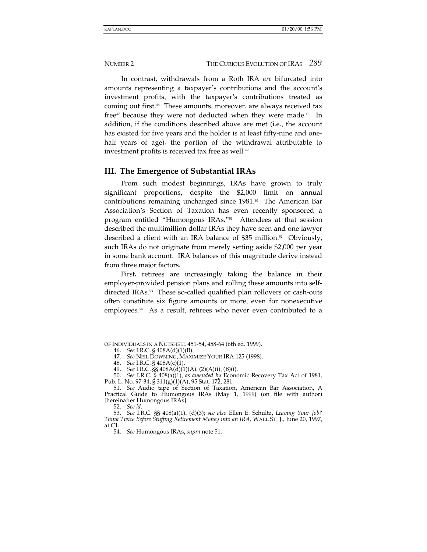In contrast, withdrawals from a Roth IRA *are* bifurcated into amounts representing a taxpayer's contributions and the account's investment profits, with the taxpayer's contributions treated as coming out first.<sup>46</sup> These amounts, moreover, are always received tax free $47$  because they were not deducted when they were made. $48$  In addition, if the conditions described above are met (i.e., the account has existed for five years and the holder is at least fifty-nine and onehalf years of age), the portion of the withdrawal attributable to investment profits is received tax free as well.<sup>49</sup>

### **III. The Emergence of Substantial IRAs**

From such modest beginnings, IRAs have grown to truly significant proportions, despite the \$2,000 limit on annual contributions remaining unchanged since 1981.50 The American Bar Association's Section of Taxation has even recently sponsored a program entitled "Humongous IRAs."<sup>51</sup> Attendees at that session described the multimillion dollar IRAs they have seen and one lawyer described a client with an IRA balance of \$35 million.<sup>52</sup> Obviously, such IRAs do not originate from merely setting aside \$2,000 per year in some bank account. IRA balances of this magnitude derive instead from three major factors.

First, retirees are increasingly taking the balance in their employer-provided pension plans and rolling these amounts into selfdirected IRAs.<sup>53</sup> These so-called qualified plan rollovers or cash-outs often constitute six figure amounts or more, even for nonexecutive employees.54 As a result, retirees who never even contributed to a

OF INDIVIDUALS IN A NUTSHELL 451-54, 458-64 (6th ed. 1999).

<sup>46.</sup> *See* I.R.C. § 408A(d)(1)(B). 47. *See* NEIL DOWNING, MAXIMIZE YOUR IRA 125 (1998).

<sup>48.</sup> *See* I.R.C. § 408A(c)(1).

<sup>49.</sup> *See* I.R.C. §§ 408A(d)(1)(A), (2)(A)(i), (B)(i).

<sup>50.</sup> *See* I.R.C. § 408(a)(1), *as amended by* Economic Recovery Tax Act of 1981, Pub. L. No. 97-34, § 311(g)(1)(A), 95 Stat. 172, 281.

<sup>51.</sup> *See* Audio tape of Section of Taxation, American Bar Association, A Practical Guide to Humongous IRAs (May 1, 1999) (on file with author) [hereinafter Humongous IRAs].

<sup>52.</sup> *See id*.

<sup>53.</sup> *See* I.R.C. §§ 408(a)(1), (d)(3); *see also* Ellen E. Schultz, *Leaving Your Job? Think Twice Before Stuffing Retirement Money into an IRA*, WALL ST. J., June 20, 1997, at C1.

<sup>54.</sup> *See* Humongous IRAs, *supra* note 51.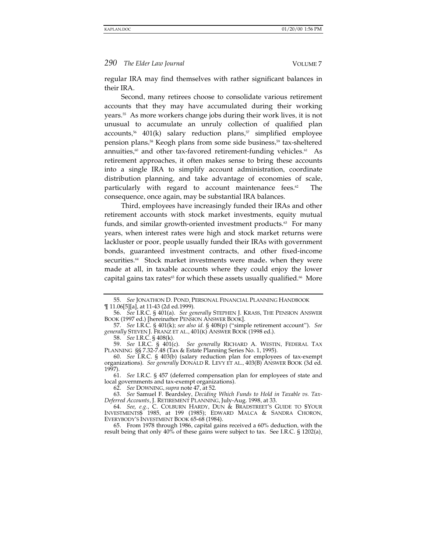regular IRA may find themselves with rather significant balances in their IRA.

Second, many retirees choose to consolidate various retirement accounts that they may have accumulated during their working years.55 As more workers change jobs during their work lives, it is not unusual to accumulate an unruly collection of qualified plan accounts, 56 401(k) salary reduction plans, 57 simplified employee pension plans, 58 Keogh plans from some side business, 59 tax-sheltered annuities,<sup>60</sup> and other tax-favored retirement-funding vehicles.<sup>61</sup> As retirement approaches, it often makes sense to bring these accounts into a single IRA to simplify account administration, coordinate distribution planning, and take advantage of economies of scale, particularly with regard to account maintenance fees. $62$  The consequence, once again, may be substantial IRA balances.

Third, employees have increasingly funded their IRAs and other retirement accounts with stock market investments, equity mutual funds, and similar growth-oriented investment products.<sup>63</sup> For many years, when interest rates were high and stock market returns were lackluster or poor, people usually funded their IRAs with government bonds, guaranteed investment contracts, and other fixed-income securities.<sup>64</sup> Stock market investments were made, when they were made at all, in taxable accounts where they could enjoy the lower capital gains tax rates<sup> $65$ </sup> for which these assets usually qualified. $66$  More

61. *See* I.R.C. § 457 (deferred compensation plan for employees of state and local governments and tax-exempt organizations).

<sup>55.</sup> *See* JONATHON D. POND, PERSONAL FINANCIAL PLANNING HANDBOOK ¶ 11.06[5][a], at 11-43 (2d ed.1999).

<sup>56.</sup> *See* I.R.C. § 401(a). *See generally* STEPHEN J. KRASS, THE PENSION ANSWER BOOK (1997 ed.) [hereinafter PENSION ANSWER BOOK].

<sup>57.</sup> *See* I.R.C. § 401(k); *see also id.* § 408(p) ("simple retirement account"). *See generally* STEVEN J. FRANZ ET AL., 401(K) ANSWER BOOK (1998 ed.).

<sup>58.</sup> *See* I.R.C. § 408(k).

<sup>59.</sup> *See* I.R.C. § 401(c). *See generally* RICHARD A. WESTIN, FEDERAL TAX PLANNING §§ 7.32-7.48 (Tax & Estate Planning Series No. 1, 1995).

<sup>60.</sup> *See* I.R.C. § 403(b) (salary reduction plan for employees of tax-exempt organizations). *See generally* DONALD R. LEVY ET AL., 403(B) ANSWER BOOK (3d ed. 1997).

<sup>62.</sup> *See* DOWNING, *supra* note 47, at 52.

<sup>63.</sup> *See* Samuel F. Beardsley, *Deciding Which Funds to Hold in Taxable vs. Tax-Deferred Accounts*, J. RETIREMENT PLANNING, July-Aug. 1998, at 33.

<sup>64.</sup> *See, e.g.*, C. COLBURN HARDY, DUN & BRADSTREET'S GUIDE TO \$YOUR INVESTMENTS\$ 1985, at 199 (1985); EDWARD MALCA & SANDRA CHORON, EVERYBODY'S INVESTMENT BOOK 65-68 (1984).

<sup>65.</sup> From 1978 through 1986, capital gains received a 60% deduction, with the result being that only 40% of these gains were subject to tax. See I.R.C. § 1202(a),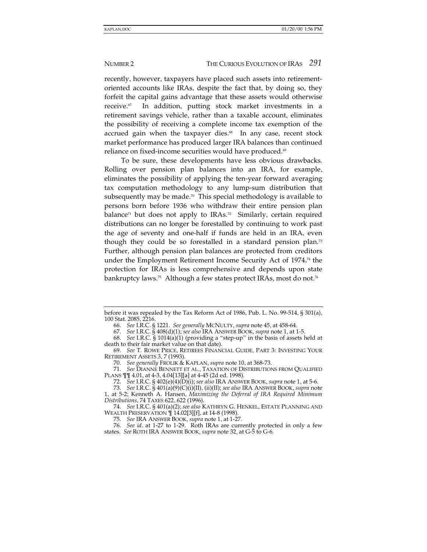recently, however, taxpayers have placed such assets into retirementoriented accounts like IRAs, despite the fact that, by doing so, they forfeit the capital gains advantage that these assets would otherwise receive.<sup>67</sup> In addition, putting stock market investments in a retirement savings vehicle, rather than a taxable account, eliminates the possibility of receiving a complete income tax exemption of the accrued gain when the taxpayer dies.<sup>68</sup> In any case, recent stock market performance has produced larger IRA balances than continued reliance on fixed-income securities would have produced.<sup>69</sup>

To be sure, these developments have less obvious drawbacks. Rolling over pension plan balances into an IRA, for example, eliminates the possibility of applying the ten-year forward averaging tax computation methodology to any lump-sum distribution that subsequently may be made.<sup>70</sup> This special methodology is available to persons born before 1936 who withdraw their entire pension plan balance<sup>71</sup> but does not apply to IRAs.<sup>72</sup> Similarly, certain required distributions can no longer be forestalled by continuing to work past the age of seventy and one-half if funds are held in an IRA, even though they could be so forestalled in a standard pension plan.<sup>73</sup> Further, although pension plan balances are protected from creditors under the Employment Retirement Income Security Act of 1974, 74 the protection for IRAs is less comprehensive and depends upon state bankruptcy laws.<sup>75</sup> Although a few states protect IRAs, most do not.<sup>76</sup>

75. *See* IRA ANSWER BOOK, *supra* note 1, at 1-27.

before it was repealed by the Tax Reform Act of 1986, Pub. L. No. 99-514, § 301(a), 100 Stat. 2085, 2216.

<sup>66.</sup> *See* I.R.C. § 1221. *See generally* MCNULTY, *supra* note 45, at 458-64.

<sup>67.</sup> *See* I.R.C. § 408(d)(1); *see also* IRA ANSWER BOOK, *supra* note 1, at 1-5.

<sup>68.</sup> *See* I.R.C. § 1014(a)(1) (providing a "step-up" in the basis of assets held at death to their fair market value on that date).

<sup>69.</sup> *See* T. ROWE PRICE, RETIREES FINANCIAL GUIDE, PART 3: INVESTING YOUR RETIREMENT ASSETS 3, 7 (1993).

<sup>70.</sup> *See generally* FROLIK & KAPLAN, *supra* note 10, at 368-73.

<sup>71.</sup> *See* DIANNE BENNETT ET AL., TAXATION OF DISTRIBUTIONS FROM QUALIFIED PLANS ¶¶ 4.01, at 4-3, 4.04[13][a] at 4-45 (2d ed. 1998).

<sup>72.</sup> *See* I.R.C. § 402(e)(4)(D)(i); *see also* IRA ANSWER BOOK, *supra* note 1, at 5-6.

<sup>73.</sup> *See* I.R.C. § 401(a)(9)(C)(i)(II), (ii)(II); *see also* IRA ANSWER BOOK, *supra* note 1, at 5-2; Kenneth A. Hansen, *Maximizing the Deferral of IRA Required Minimum Distributions*, 74 TAXES 622, 622 (1996).

<sup>74.</sup> *See* I.R.C. § 401(a)(2); *see also* KATHRYN G. HENKEL, ESTATE PLANNING AND WEALTH PRESERVATION ¶ 14.02[3][f], at 14-8 (1998).

<sup>76.</sup> *See id*. at 1-27 to 1-29. Roth IRAs are currently protected in only a few states. *See* ROTH IRA ANSWER BOOK, *supra* note 32, at G-5 to G-6.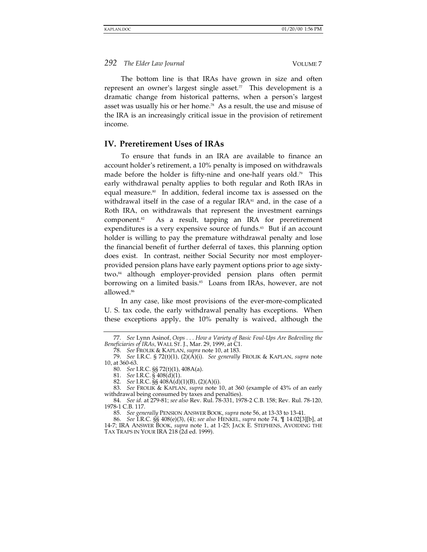The bottom line is that IRAs have grown in size and often represent an owner's largest single asset. $\pi$  This development is a dramatic change from historical patterns, when a person's largest asset was usually his or her home.78 As a result, the use and misuse of the IRA is an increasingly critical issue in the provision of retirement income.

### **IV. Preretirement Uses of IRAs**

To ensure that funds in an IRA are available to finance an account holder's retirement, a 10% penalty is imposed on withdrawals made before the holder is fifty-nine and one-half years old.<sup>79</sup> This early withdrawal penalty applies to both regular and Roth IRAs in equal measure.<sup>80</sup> In addition, federal income tax is assessed on the withdrawal itself in the case of a regular  $IRA^{s_1}$  and, in the case of a Roth IRA, on withdrawals that represent the investment earnings component.<sup>82</sup> As a result, tapping an IRA for preretirement expenditures is a very expensive source of funds.<sup>83</sup> But if an account holder is willing to pay the premature withdrawal penalty and lose the financial benefit of further deferral of taxes, this planning option does exist. In contrast, neither Social Security nor most employerprovided pension plans have early payment options prior to age sixtytwo, 84 although employer-provided pension plans often permit borrowing on a limited basis.<sup>85</sup> Loans from IRAs, however, are not allowed.<sup>86</sup>

In any case, like most provisions of the ever-more-complicated U. S. tax code, the early withdrawal penalty has exceptions. When these exceptions apply, the 10% penalty is waived, although the

<sup>77.</sup> *See* Lynn Asinof, *Oops . . . How a Variety of Basic Foul-Ups Are Bedeviling the Beneficiaries of IRAs*, WALL ST. J., Mar. 29, 1999, at C1.

<sup>78.</sup> *See* FROLIK & KAPLAN, *supra* note 10, at 183.

<sup>79.</sup> *See* I.R.C. § 72(t)(1), (2)(A)(i). *See generally* FROLIK & KAPLAN, *supra* note 10, at 360-63.

<sup>80.</sup> *See* I.R.C. §§ 72(t)(1), 408A(a).

<sup>81.</sup> *See* I.R.C. § 408(d)(1).

<sup>82.</sup> *See* I.R.C. §§ 408A(d)(1)(B), (2)(A)(i).

<sup>83.</sup> *See* FROLIK & KAPLAN, *supra* note 10, at 360 (example of 43% of an early withdrawal being consumed by taxes and penalties).

<sup>84.</sup> *See id.* at 279-81; *see also* Rev. Rul. 78-331, 1978-2 C.B. 158; Rev. Rul. 78-120, 1978-1 C.B. 117.

<sup>85.</sup> *See generally* PENSION ANSWER BOOK, *supra* note 56, at 13-33 to 13-41.

<sup>86.</sup> *See* I.R.C. §§ 408(e)(3), (4); *see also* HENKEL, *supra* note 74, ¶ 14.02[3][b], at 14-7; IRA ANSWER BOOK, *supra* note 1, at 1-25; JACK E. STEPHENS, AVOIDING THE TAX TRAPS IN YOUR IRA 218 (2d ed. 1999).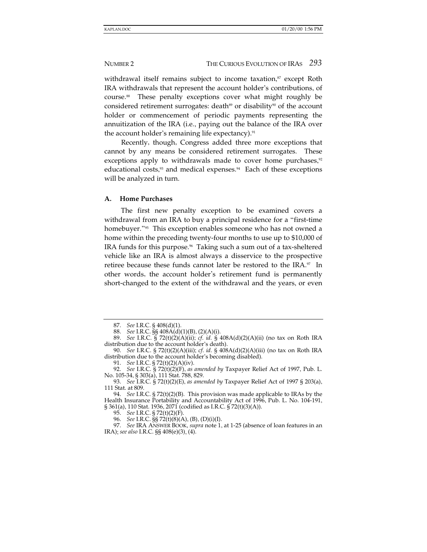withdrawal itself remains subject to income taxation, 87 except Roth IRA withdrawals that represent the account holder's contributions, of course.88 These penalty exceptions cover what might roughly be considered retirement surrogates: death<sup>89</sup> or disability<sup>90</sup> of the account holder or commencement of periodic payments representing the annuitization of the IRA (i.e., paying out the balance of the IRA over the account holder's remaining life expectancy).<sup>91</sup>

Recently, though, Congress added three more exceptions that cannot by any means be considered retirement surrogates. These exceptions apply to withdrawals made to cover home purchases,<sup>92</sup> educational costs,<sup>93</sup> and medical expenses.<sup>94</sup> Each of these exceptions will be analyzed in turn.

#### **A. Home Purchases**

The first new penalty exception to be examined covers a withdrawal from an IRA to buy a principal residence for a "first-time homebuyer."95 This exception enables someone who has not owned a home within the preceding twenty-four months to use up to \$10,000 of IRA funds for this purpose.<sup>96</sup> Taking such a sum out of a tax-sheltered vehicle like an IRA is almost always a disservice to the prospective retiree because these funds cannot later be restored to the IRA.<sup>97</sup> In other words, the account holder's retirement fund is permanently short-changed to the extent of the withdrawal and the years, or even

96. *See* I.R.C. §§ 72(t)(8)(A), (B), (D)(i)(I).

97. *See* IRA ANSWER BOOK, *supra* note 1, at 1-25 (absence of loan features in an IRA); *see also* I.R.C. §§ 408(e)(3), (4).

<sup>87.</sup> *See* I.R.C. § 408(d)(1).

<sup>88.</sup> *See* I.R.C. §§ 408A(d)(1)(B), (2)(A)(i).

<sup>89.</sup> *See* I.R.C. § 72(t)(2)(A)(ii); *cf*. *id.* § 408A(d)(2)(A)(ii) (no tax on Roth IRA distribution due to the account holder's death).

<sup>90.</sup> *See* I.R.C. § 72(t)(2)(A)(iii); *cf*. *id.* § 408A(d)(2)(A)(iii) (no tax on Roth IRA distribution due to the account holder's becoming disabled).

<sup>91.</sup> *See* I.R.C. § 72(t)(2)(A)(iv).

<sup>92.</sup> *See* I.R.C. § 72(t)(2)(F), *as amended by* Taxpayer Relief Act of 1997, Pub. L. No. 105-34, § 303(a), 111 Stat. 788, 829.

<sup>93.</sup> *See* I.R.C. § 72(t)(2)(E), *as amended by* Taxpayer Relief Act of 1997 § 203(a), 111 Stat. at 809.

<sup>94.</sup> *See* I.R.C. § 72(t)(2)(B). This provision was made applicable to IRAs by the Health Insurance Portability and Accountability Act of 1996, Pub. L. No. 104-191, § 361(a), 110 Stat. 1936, 2071 (codified as I.R.C. § 72(t)(3)(A)).

<sup>95.</sup> *See* I.R.C. § 72(t)(2)(F).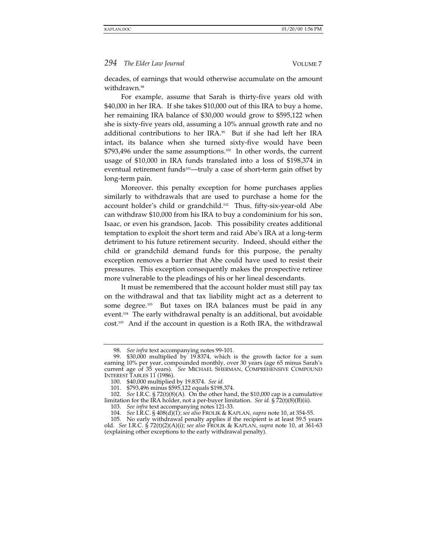decades, of earnings that would otherwise accumulate on the amount withdrawn.98

For example, assume that Sarah is thirty-five years old with \$40,000 in her IRA. If she takes \$10,000 out of this IRA to buy a home, her remaining IRA balance of \$30,000 would grow to \$595,122 when she is sixty-five years old, assuming a 10% annual growth rate and no additional contributions to her IRA.<sup>99</sup> But if she had left her IRA intact, its balance when she turned sixty-five would have been \$793,496 under the same assumptions.<sup>100</sup> In other words, the current usage of \$10,000 in IRA funds translated into a loss of \$198,374 in eventual retirement funds<sup>101</sup>—truly a case of short-term gain offset by long-term pain.

Moreover, this penalty exception for home purchases applies similarly to withdrawals that are used to purchase a home for the account holder's child or grandchild.<sup>102</sup> Thus, fifty-six-year-old Abe can withdraw \$10,000 from his IRA to buy a condominium for his son, Isaac, or even his grandson, Jacob. This possibility creates additional temptation to exploit the short term and raid Abe's IRA at a long-term detriment to his future retirement security. Indeed, should either the child or grandchild demand funds for this purpose, the penalty exception removes a barrier that Abe could have used to resist their pressures. This exception consequently makes the prospective retiree more vulnerable to the pleadings of his or her lineal descendants.

It must be remembered that the account holder must still pay tax on the withdrawal and that tax liability might act as a deterrent to some degree.<sup>103</sup> But taxes on IRA balances must be paid in any event.104 The early withdrawal penalty is an additional, but avoidable cost.105 And if the account in question is a Roth IRA, the withdrawal

<sup>98.</sup> *See infra* text accompanying notes 99-101.

<sup>\$30,000</sup> multiplied by 19.8374, which is the growth factor for a sum earning 10% per year, compounded monthly, over 30 years (age 65 minus Sarah's current age of 35 years). *See* MICHAEL SHERMAN, COMPREHENSIVE COMPOUND INTEREST TABLES 11 (1986).

<sup>100. \$40</sup>,000 multiplied by 19.8374. *See id.*

<sup>101. \$793</sup>,496 minus \$595,122 equals \$198,374.

<sup>102.</sup> *See* I.R.C. § 72(t)(8)(A). On the other hand, the \$10,000 cap is a cumulative limitation for the IRA holder, not a per-buyer limitation. *See id.* § 72(t)(8)(B)(ii).

<sup>103.</sup> *See infra* text accompanying notes 121-33.

<sup>104.</sup> *See* I.R.C. § 408(d)(1); *see also* FROLIK & KAPLAN, *supra* note 10, at 354-55.

<sup>105.</sup> No early withdrawal penalty applies if the recipient is at least 59.5 years old. *See* I.R.C. § 72(t)(2)(A)(i); *see also* FROLIK & KAPLAN, *supra* note 10, at 361-63 (explaining other exceptions to the early withdrawal penalty).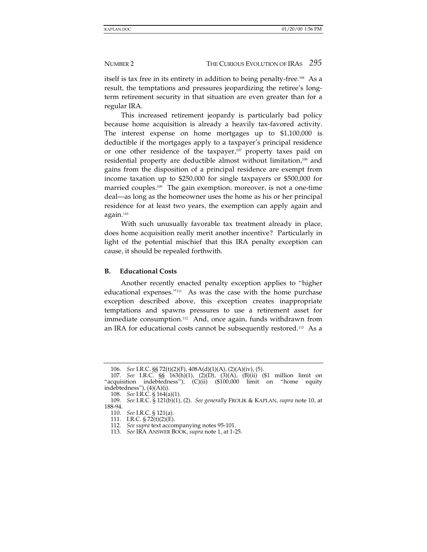itself is tax free in its entirety in addition to being penalty-free.<sup>106</sup> As a result, the temptations and pressures jeopardizing the retiree's longterm retirement security in that situation are even greater than for a regular IRA.

This increased retirement jeopardy is particularly bad policy because home acquisition is already a heavily tax-favored activity. The interest expense on home mortgages up to \$1,100,000 is deductible if the mortgages apply to a taxpayer's principal residence or one other residence of the taxpayer,<sup>107</sup> property taxes paid on residential property are deductible almost without limitation, 108 and gains from the disposition of a principal residence are exempt from income taxation up to \$250,000 for single taxpayers or \$500,000 for married couples.<sup>109</sup> The gain exemption, moreover, is not a one-time deal—as long as the homeowner uses the home as his or her principal residence for at least two years, the exemption can apply again and again.<sup>110</sup>

With such unusually favorable tax treatment already in place, does home acquisition really merit another incentive? Particularly in light of the potential mischief that this IRA penalty exception can cause, it should be repealed forthwith.

#### **B. Educational Costs**

Another recently enacted penalty exception applies to "higher educational expenses."<sup>111</sup> As was the case with the home purchase exception described above, this exception creates inappropriate temptations and spawns pressures to use a retirement asset for immediate consumption.<sup>112</sup> And, once again, funds withdrawn from an IRA for educational costs cannot be subsequently restored.<sup>113</sup> As a

<sup>106.</sup> *See* I.R.C. §§ 72(t)(2)(F), 408A(d)(1)(A), (2)(A)(iv), (5).

<sup>107.</sup> *See* I.R.C. §§ 163(h)(1), (2)(D), (3)(A), (B)(ii) (\$1 million limit on "acquisition indebtedness"), (C)(ii) (\$100,000 limit on "home equity indebtedness"), (4)(A)(i).

<sup>108.</sup> *See* I.R.C. § 164(a)(1).

<sup>109.</sup> *See* I.R.C. § 121(b)(1), (2). *See generally* FROLIK & KAPLAN, *supra* note 10, at 188-94.

<sup>110.</sup> *See* I.R.C. § 121(a).

<sup>111.</sup> I.R.C. § 72(t)(2)(E).

<sup>112.</sup> *See supra* text accompanying notes 95-101.

<sup>113.</sup> *See* IRA ANSWER BOOK, *supra* note 1, at 1-25.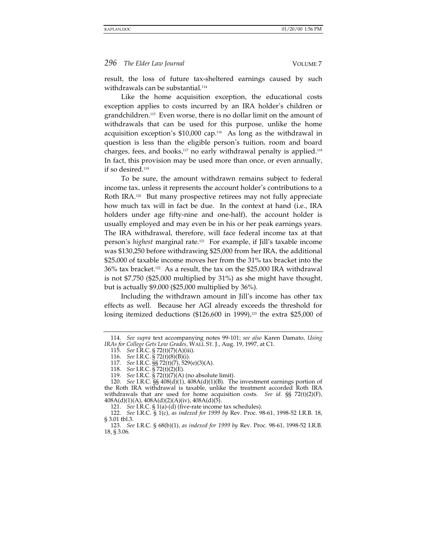result, the loss of future tax-sheltered earnings caused by such withdrawals can be substantial.<sup>114</sup>

Like the home acquisition exception, the educational costs exception applies to costs incurred by an IRA holder's children or grandchildren.115 Even worse, there is no dollar limit on the amount of withdrawals that can be used for this purpose, unlike the home acquisition exception's \$10,000 cap.<sup>116</sup> As long as the withdrawal in question is less than the eligible person's tuition, room and board charges, fees, and books, 117 no early withdrawal penalty is applied.118 In fact, this provision may be used more than once, or even annually, if so desired.119

To be sure, the amount withdrawn remains subject to federal income tax, unless it represents the account holder's contributions to a Roth IRA.<sup>120</sup> But many prospective retirees may not fully appreciate how much tax will in fact be due. In the context at hand (i.e., IRA holders under age fifty-nine and one-half), the account holder is usually employed and may even be in his or her peak earnings years. The IRA withdrawal, therefore, will face federal income tax at that person's *highest* marginal rate.121 For example, if Jill's taxable income was \$130,250 before withdrawing \$25,000 from her IRA, the additional \$25,000 of taxable income moves her from the 31% tax bracket into the 36% tax bracket.122 As a result, the tax on the \$25,000 IRA withdrawal is not \$7,750 (\$25,000 multiplied by 31%) as she might have thought, but is actually \$9,000 (\$25,000 multiplied by 36%).

Including the withdrawn amount in Jill's income has other tax effects as well. Because her AGI already exceeds the threshold for losing itemized deductions (\$126,600 in 1999), 123 the extra \$25,000 of

<sup>114.</sup> *See supra* text accompanying notes 99-101; *see also* Karen Damato, *Using IRAs for College Gets Low Grades*, WALL ST. J., Aug. 19, 1997, at C1.

<sup>115.</sup> *See* I.R.C. § 72(t)(7)(A)(iii).

<sup>116.</sup> *See* I.R.C. § 72(t)(8)(B)(i).

<sup>117.</sup> *See* I.R.C. §§ 72(t)(7), 529(e)(3)(A).

<sup>118.</sup> *See* I.R.C. § 72(t)(2)(E).

<sup>119.</sup> *See* I.R.C. § 72(t)(7)(A) (no absolute limit).

<sup>120.</sup> *See* I.R.C. §§ 408(d)(1), 408A(d)(1)(B). The investment earnings portion of the Roth IRA withdrawal is taxable, unlike the treatment accorded Roth IRA withdrawals that are used for home acquisition costs. *See id.* §§ 72(t)(2)(F),  $408A(d)(1)(A), 408A(d)(2)(A)(iv), 408A(d)(5)$ 

<sup>121.</sup> *See* I.R.C. § 1(a)-(d) (five-rate income tax schedules).

<sup>122.</sup> *See* I.R.C. § 1(c), *as indexed for 1999 by* Rev. Proc. 98-61, 1998-52 I.R.B. 18, § 3.01 tbl.3.

<sup>123.</sup> *See* I.R.C. § 68(b)(1), *as indexed for 1999 by* Rev. Proc. 98-61, 1998-52 I.R.B. 18, § 3.06.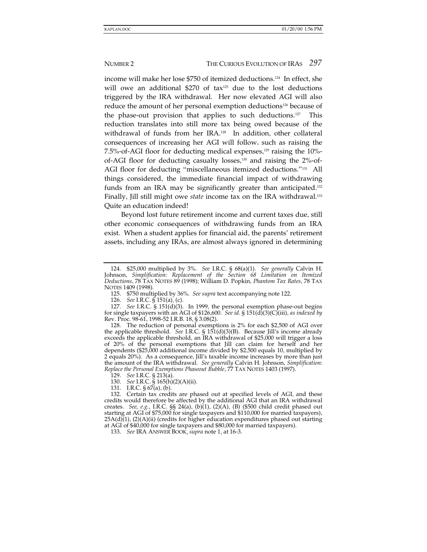income will make her lose \$750 of itemized deductions.124 In effect, she will owe an additional \$270 of tax<sup>125</sup> due to the lost deductions triggered by the IRA withdrawal. Her now elevated AGI will also reduce the amount of her personal exemption deductions<sup>126</sup> because of the phase-out provision that applies to such deductions.<sup>127</sup> This reduction translates into still more tax being owed because of the withdrawal of funds from her IRA.<sup>128</sup> In addition, other collateral consequences of increasing her AGI will follow, such as raising the 7.5%-of-AGI floor for deducting medical expenses,<sup>129</sup> raising the 10%of-AGI floor for deducting casualty losses, 130 and raising the 2%-of-AGI floor for deducting "miscellaneous itemized deductions."<sup>131</sup> All things considered, the immediate financial impact of withdrawing funds from an IRA may be significantly greater than anticipated.<sup>132</sup> Finally, Jill still might owe *state* income tax on the IRA withdrawal.<sup>133</sup> Quite an education indeed!

Beyond lost future retirement income and current taxes due, still other economic consequences of withdrawing funds from an IRA exist. When a student applies for financial aid, the parents' retirement assets, including any IRAs, are almost always ignored in determining

130. *See* I.R.C. § 165(h)(2)(A)(ii).

131. I.R.C. § 67(a), (b).

<sup>124. \$25</sup>,000 multiplied by 3%. *See* I.R.C. § 68(a)(1). *See generally* Calvin H. Johnson, *Simplification: Replacement of the Section 68 Limitation on Itemized Deductions*, 78 TAX NOTES 89 (1998); William D. Popkin, *Phantom Tax Rates*, 78 TAX NOTES 1409 (1998).

<sup>125. \$750</sup> multiplied by 36%. *See supra* text accompanying note 122.

<sup>126.</sup> *See* I.R.C. § 151(a), (c).

<sup>127.</sup> *See* I.R.C. § 151(d)(3). In 1999, the personal exemption phase-out begins for single taxpayers with an AGI of \$126,600. *See id.* § 151(d)(3)(C)(iii), *as indexed by* Rev. Proc. 98-61, 1998-52 I.R.B. 18, § 3.08(2).

<sup>128.</sup> The reduction of personal exemptions is 2% for each \$2,500 of AGI over the applicable threshold. *See* I.R.C. § 151(d)(3)(B). Because Jill's income already exceeds the applicable threshold, an IRA withdrawal of \$25,000 will trigger a loss of 20% of the personal exemptions that Jill can claim for herself and her dependents (\$25,000 additional income divided by \$2,500 equals 10, multiplied by 2 equals 20%). As a consequence, Jill's taxable income increases by more than just the amount of the IRA withdrawal. *See generally* Calvin H. Johnson, *Simplification: Replace the Personal Exemptions Phaseout Bubble*, 77 TAX NOTES 1403 (1997).

<sup>129.</sup> *See* I.R.C. § 213(a).

<sup>132.</sup> Certain tax credits are phased out at specified levels of AGI, and these credits would therefore be affected by the additional AGI that an IRA withdrawal creates. *See, e.g.*, I.R.C. §§ 24(a), (b)(1), (2)(A), (B) (\$500 child credit phased out starting at AGI of \$75,000 for single taxpayers and \$110,000 for married taxpayers),  $25A(d)(1)$ ,  $(2)(A)(ii)$  (credits for higher education expenditures phased out starting at AGI of \$40,000 for single taxpayers and \$80,000 for married taxpayers).

<sup>133.</sup> *See* IRA ANSWER BOOK, *supra* note 1, at 16-3.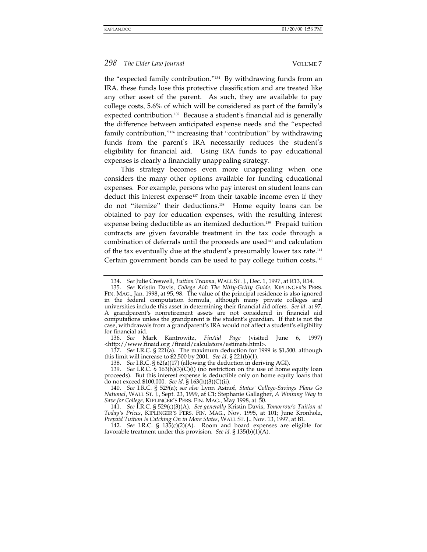the "expected family contribution."134 By withdrawing funds from an IRA, these funds lose this protective classification and are treated like any other asset of the parent. As such, they are available to pay college costs, 5.6% of which will be considered as part of the family's expected contribution.<sup>135</sup> Because a student's financial aid is generally the difference between anticipated expense needs and the "expected family contribution,"136 increasing that "contribution" by withdrawing funds from the parent's IRA necessarily reduces the student's eligibility for financial aid. Using IRA funds to pay educational expenses is clearly a financially unappealing strategy.

This strategy becomes even more unappealing when one considers the many other options available for funding educational expenses. For example, persons who pay interest on student loans can deduct this interest expense<sup>137</sup> from their taxable income even if they do not "itemize" their deductions.138 Home equity loans can be obtained to pay for education expenses, with the resulting interest expense being deductible as an itemized deduction.139 Prepaid tuition contracts are given favorable treatment in the tax code through a combination of deferrals until the proceeds are used<sup>140</sup> and calculation of the tax eventually due at the student's presumably lower tax rate.141 Certain government bonds can be used to pay college tuition costs,<sup>142</sup>

137. *See* I.R.C. § 221(a). The maximum deduction for 1999 is \$1,500, although this limit will increase to \$2,500 by 2001. *See id*. § 221(b)(1).

138. *See* I.R.C. § 62(a)(17) (allowing the deduction in deriving AGI).

139. *See* I.R.C. § 163(h)(3)(C)(i) (no restriction on the use of home equity loan proceeds). But this interest expense is deductible only on home equity loans that do not exceed \$100,000. *See id*. § 163(h)(3)(C)(ii).

140. *See* I.R.C. § 529(a); *see also* Lynn Asinof, *States' College-Savings Plans Go National*, WALL ST. J., Sept. 23, 1999, at C1; Stephanie Gallagher, *A Winning Way to Save for College*, KIPLINGER'S PERS. FIN. MAG., May 1998, at 50.

141. *See* I.R.C. § 529(c)(3)(A). *See generally* Kristin Davis, *Tomorrow's Tuition at Today's Prices*, KIPLINGER'S PERS. FIN. MAG., Nov. 1995, at 101; June Kronholz, *Prepaid Tuition Is Catching On in More States*, WALL ST. J., Nov. 13, 1997, at B1.

142. *See* I.R.C. § 135(c)(2)(A). Room and board expenses are eligible for favorable treatment under this provision. *See id.* § 135(b)(1)(A).

<sup>134.</sup> *See* Julie Creswell, *Tuition Trauma*, WALL ST. J., Dec. 1, 1997, at R13, R14.

<sup>135.</sup> *See* Kristin Davis, *College Aid: The Nitty-Gritty Guide*, KIPLINGER'S PERS. FIN. MAG., Jan. 1998, at 95, 98. The value of the principal residence is also ignored in the federal computation formula, although many private colleges and universities include this asset in determining their financial aid offers. *See id*. at 97. A grandparent's nonretirement assets are not considered in financial aid computations unless the grandparent is the student's guardian. If that is not the case, withdrawals from a grandparent's IRA would not affect a student's eligibility for financial aid.

<sup>136.</sup> *See* Mark Kantrowitz, *FinAid Page* (visited June 6, 1997) <http://www.finaid.org /finaid/calculators/estimate.html>.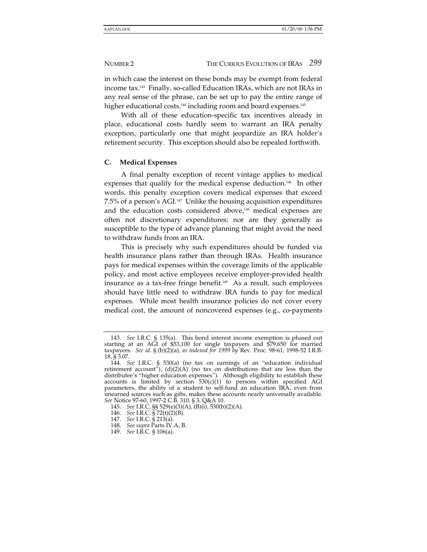in which case the interest on these bonds may be exempt from federal income tax.143 Finally, so-called Education IRAs, which are not IRAs in any real sense of the phrase, can be set up to pay the entire range of higher educational costs,<sup>144</sup> including room and board expenses.<sup>145</sup>

With all of these education-specific tax incentives already in place, educational costs hardly seem to warrant an IRA penalty exception, particularly one that might jeopardize an IRA holder's retirement security. This exception should also be repealed forthwith.

#### **C. Medical Expenses**

A final penalty exception of recent vintage applies to medical expenses that qualify for the medical expense deduction.<sup>146</sup> In other words, this penalty exception covers medical expenses that exceed 7.5% of a person's AGI.147 Unlike the housing acquisition expenditures and the education costs considered above, 148 medical expenses are often not discretionary expenditures; nor are they generally as susceptible to the type of advance planning that might avoid the need to withdraw funds from an IRA.

This is precisely why such expenditures should be funded via health insurance plans rather than through IRAs. Health insurance pays for medical expenses within the coverage limits of the applicable policy, and most active employees receive employer-provided health insurance as a tax-free fringe benefit.<sup>149</sup> As a result, such employees should have little need to withdraw IRA funds to pay for medical expenses. While most health insurance policies do not cover every medical cost, the amount of noncovered expenses (e.g., co-payments

<sup>143.</sup> *See* I.R.C. § 135(a). This bond interest income exemption is phased out starting at an AGI of \$53,100 for single taxpayers and \$79,650 for married taxpayers. *See id*. § (b)(2)(a), *as indexed for 1999 by* Rev. Proc. 98-61, 1998-52 I.R.B. 18, § 3.07.

<sup>144.</sup> *See* I.R.C. § 530(a) (no tax on earnings of an "education individual retirement account"),  $(d)(2)(A)$  (no tax on distributions that are less than the distributee's "higher education expenses"). Although eligibility to establish these accounts is limited by section 530(c)(1) to persons within specified AGI parameters, the ability of a student to self-fund an education IRA, even from unearned sources such as gifts, makes these accounts nearly universally available. *See* Notice 97-60, 1997-2 C.B. 310, § 3, Q&A 10.

<sup>145.</sup> *See* I.R.C. §§ 529(e)(3)(A), (B)(i), 530(b)(2)(A).

<sup>146.</sup> *See* I.R.C. § 72(t)(2)(B).

<sup>147.</sup> *See* I.R.C. § 213(a).

<sup>148.</sup> *See supra* Parts IV.A, B.

<sup>149.</sup> *See* I.R.C. § 106(a).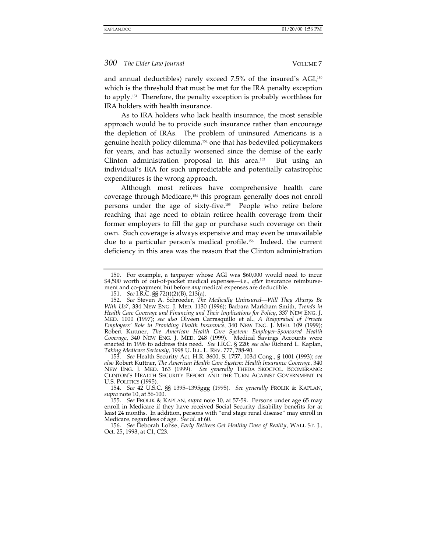and annual deductibles) rarely exceed 7.5% of the insured's AGI, 150 which is the threshold that must be met for the IRA penalty exception to apply.151 Therefore, the penalty exception is probably worthless for IRA holders with health insurance.

As to IRA holders who lack health insurance, the most sensible approach would be to provide such insurance rather than encourage the depletion of IRAs. The problem of uninsured Americans is a genuine health policy dilemma, 152 one that has bedeviled policymakers for years, and has actually worsened since the demise of the early Clinton administration proposal in this area.153 But using an individual's IRA for such unpredictable and potentially catastrophic expenditures is the wrong approach.

Although most retirees have comprehensive health care coverage through Medicare, 154 this program generally does not enroll persons under the age of sixty-five.155 People who retire before reaching that age need to obtain retiree health coverage from their former employers to fill the gap or purchase such coverage on their own. Such coverage is always expensive and may even be unavailable due to a particular person's medical profile.156 Indeed, the current deficiency in this area was the reason that the Clinton administration

153. *See* Health Security Act, H.R. 3600, S. 1757, 103d Cong., § 1001 (1993); *see also* Robert Kuttner, *The American Health Care System: Health Insurance Coverage*, 340 NEW ENG. J. MED. 163 (1999). *See generally* THEDA SKOCPOL, BOOMERANG: CLINTON'S HEALTH SECURITY EFFORT AND THE TURN AGAINST GOVERNMENT IN U.S. POLITICS (1995).

154. *See* 42 U.S.C. §§ 1395–1395ggg (1995). *See generally* FROLIK & KAPLAN, *supra* note 10, at 56-100.

155. *See* FROLIK & KAPLAN, *supra* note 10, at 57-59. Persons under age 65 may enroll in Medicare if they have received Social Security disability benefits for at least 24 months. In addition, persons with "end stage renal disease" may enroll in Medicare, regardless of age. *See id*. at 60.

156. *See* Deborah Lohse, *Early Retirees Get Healthy Dose of Reality*, WALL ST. J., Oct. 25, 1993, at C1, C23.

<sup>150.</sup> For example, a taxpayer whose AGI was \$60,000 would need to incur \$4,500 worth of out-of-pocket medical expenses—i.e., *after* insurance reimbursement and co-payment but before *any* medical expenses are deductible.

<sup>151.</sup> *See* I.R.C. §§ 72(t)(2)(B), 213(a).

<sup>152.</sup> *See* Steven A. Schroeder, *The Medically Uninsured—Will They Always Be With Us?*, 334 NEW ENG. J. MED. 1130 (1996); Barbara Markham Smith, *Trends in Health Care Coverage and Financing and Their Implications for Policy*, 337 NEW ENG. J. MED. 1000 (1997); *see also* Olveen Carrasquillo et al., *A Reappraisal of Private Employers' Role in Providing Health Insurance*, 340 NEW ENG. J. MED. 109 (1999); Robert Kuttner, *The American Health Care System: Employer-Sponsored Health Coverage*, 340 NEW ENG. J. MED. 248 (1999). Medical Savings Accounts were enacted in 1996 to address this need. *See* I.R.C. § 220; *see also* Richard L. Kaplan, *Taking Medicare Seriously*, 1998 U. ILL. L. REV. 777, 788-90.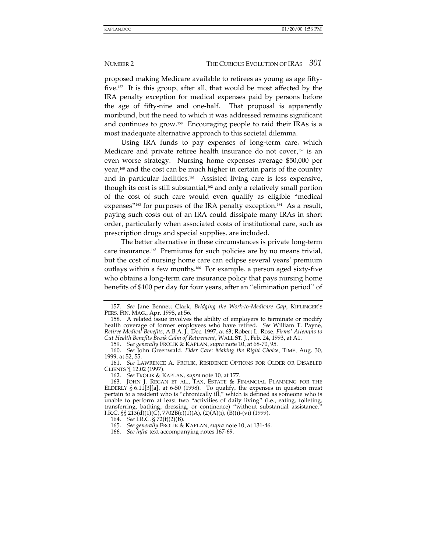proposed making Medicare available to retirees as young as age fiftyfive.157 It is this group, after all, that would be most affected by the IRA penalty exception for medical expenses paid by persons before the age of fifty-nine and one-half. That proposal is apparently moribund, but the need to which it was addressed remains significant and continues to grow.158 Encouraging people to raid their IRAs is a most inadequate alternative approach to this societal dilemma.

Using IRA funds to pay expenses of long-term care, which Medicare and private retiree health insurance do not cover, 159 is an even worse strategy. Nursing home expenses average \$50,000 per year, 160 and the cost can be much higher in certain parts of the country and in particular facilities.<sup>161</sup> Assisted living care is less expensive, though its cost is still substantial, 162 and only a relatively small portion of the cost of such care would even qualify as eligible "medical expenses"<sup>163</sup> for purposes of the IRA penalty exception.<sup>164</sup> As a result, paying such costs out of an IRA could dissipate many IRAs in short order, particularly when associated costs of institutional care, such as prescription drugs and special supplies, are included.

The better alternative in these circumstances is private long-term care insurance.165 Premiums for such policies are by no means trivial, but the cost of nursing home care can eclipse several years' premium outlays within a few months.166 For example, a person aged sixty-five who obtains a long-term care insurance policy that pays nursing home benefits of \$100 per day for four years, after an "elimination period" of

<sup>157.</sup> *See* Jane Bennett Clark, *Bridging the Work-to-Medicare Gap*, KIPLINGER'S PERS. FIN. MAG., Apr. 1998, at 56.

<sup>158.</sup> A related issue involves the ability of employers to terminate or modify health coverage of former employees who have retired. *See* William T. Payne, *Retiree Medical Benefits*, A.B.A. J., Dec. 1997, at 63; Robert L. Rose, *Firms' Attempts to Cut Health Benefits Break Calm of Retirement*, WALL ST. J., Feb. 24, 1993, at A1.

<sup>159.</sup> *See generally* FROLIK & KAPLAN, *supra* note 10, at 68-70, 95.

<sup>160.</sup> *See* John Greenwald, *Elder Care: Making the Right Choice*, TIME, Aug. 30, 1999, at 52, 55.

<sup>161.</sup> *See* LAWRENCE A. FROLIK, RESIDENCE OPTIONS FOR OLDER OR DISABLED CLIENTS ¶ 12.02 (1997).

<sup>162.</sup> *See* FROLIK & KAPLAN, *supra* note 10, at 177.

<sup>163.</sup> JOHN J. REGAN ET AL., TAX, ESTATE & FINANCIAL PLANNING FOR THE ELDERLY § 6.11[3][a], at 6-50 (1998). To qualify, the expenses in question must pertain to a resident who is "chronically ill," which is defined as someone who is unable to perform at least two "activities of daily living" (i.e., eating, toileting, transferring, bathing, dressing, or continence) "without substantial assistance." I.R.C.  $\S$ § 213(d)(1)(C), 7702B(c)(1)(A), (2)(A)(i), (B)(i)-(vi) (1999).

<sup>164.</sup> *See* I.R.C. § 72(t)(2)(B).

<sup>165.</sup> *See generally* FROLIK & KAPLAN, *supra* note 10, at 131-46.

<sup>166.</sup> *See infra* text accompanying notes 167-69.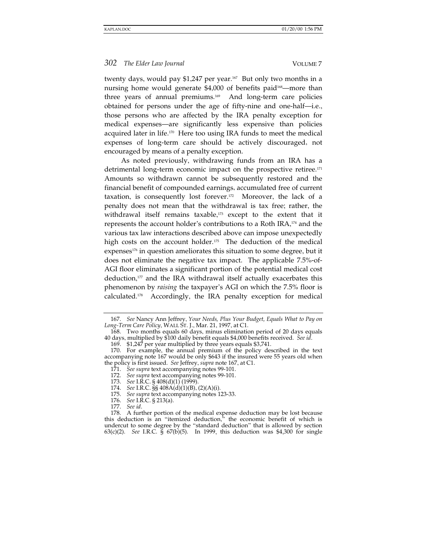twenty days, would pay \$1,247 per year.<sup>167</sup> But only two months in a nursing home would generate \$4,000 of benefits paid<sup>168</sup>—more than three years of annual premiums.169 And long-term care policies obtained for persons under the age of fifty-nine and one-half—i.e., those persons who are affected by the IRA penalty exception for medical expenses—are significantly less expensive than policies acquired later in life.<sup>170</sup> Here too using IRA funds to meet the medical expenses of long-term care should be actively discouraged, not encouraged by means of a penalty exception.

As noted previously, withdrawing funds from an IRA has a detrimental long-term economic impact on the prospective retiree.<sup>171</sup> Amounts so withdrawn cannot be subsequently restored and the financial benefit of compounded earnings, accumulated free of current taxation, is consequently lost forever.172 Moreover, the lack of a penalty does not mean that the withdrawal is tax free; rather, the withdrawal itself remains taxable, 173 except to the extent that it represents the account holder's contributions to a Roth IRA, 174 and the various tax law interactions described above can impose unexpectedly high costs on the account holder.<sup>175</sup> The deduction of the medical expenses<sup>176</sup> in question ameliorates this situation to some degree, but it does not eliminate the negative tax impact. The applicable 7.5%-of-AGI floor eliminates a significant portion of the potential medical cost deduction, 177 and the IRA withdrawal itself actually exacerbates this phenomenon by *raising* the taxpayer's AGI on which the 7.5% floor is calculated.178 Accordingly, the IRA penalty exception for medical

<sup>167.</sup> *See* Nancy Ann Jeffrey, *Your Needs, Plus Your Budget, Equals What to Pay on Long-Term Care Policy*, WALL ST. J., Mar. 21, 1997, at C1.

<sup>168.</sup> Two months equals 60 days, minus elimination period of 20 days equals 40 days, multiplied by \$100 daily benefit equals \$4,000 benefits received. *See id*.

<sup>169. \$1</sup>,247 per year multiplied by three years equals \$3,741.

<sup>170.</sup> For example, the annual premium of the policy described in the text accompanying note 167 would be only \$643 if the insured were 55 years old when the policy is first issued. *See* Jeffrey, *supra* note 167, at C1.

<sup>171.</sup> *See supra* text accompanying notes 99-101.

<sup>172.</sup> *See supra* text accompanying notes 99-101.

<sup>173.</sup> *See* I.R.C. § 408(d)(1) (1999).

<sup>174.</sup> *See* I.R.C. §§ 408A(d)(1)(B), (2)(A)(i).

<sup>175.</sup> *See supra* text accompanying notes 123-33.

<sup>176.</sup> *See* I.R.C. § 213(a).

<sup>177.</sup> *See id*.

<sup>178.</sup> A further portion of the medical expense deduction may be lost because this deduction is an "itemized deduction," the economic benefit of which is undercut to some degree by the "standard deduction" that is allowed by section 63(c)(2). *See* I.R.C. § 67(b)(5). In 1999, this deduction was \$4,300 for single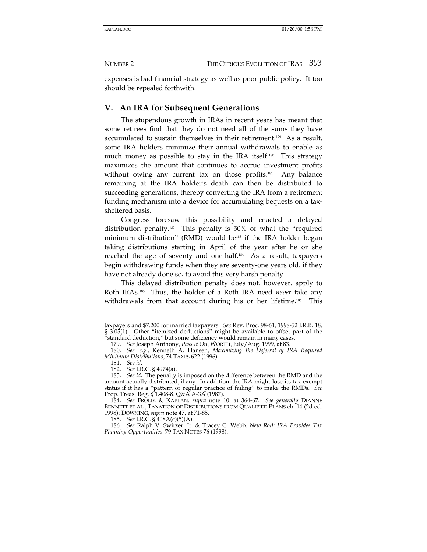expenses is bad financial strategy as well as poor public policy. It too should be repealed forthwith.

## **V. An IRA for Subsequent Generations**

The stupendous growth in IRAs in recent years has meant that some retirees find that they do not need all of the sums they have accumulated to sustain themselves in their retirement.<sup>179</sup> As a result, some IRA holders minimize their annual withdrawals to enable as much money as possible to stay in the IRA itself.<sup>180</sup> This strategy maximizes the amount that continues to accrue investment profits without owing any current tax on those profits.<sup>181</sup> Any balance remaining at the IRA holder's death can then be distributed to succeeding generations, thereby converting the IRA from a retirement funding mechanism into a device for accumulating bequests on a taxsheltered basis.

Congress foresaw this possibility and enacted a delayed distribution penalty.182 This penalty is 50% of what the "required minimum distribution" (RMD) would be<sup>183</sup> if the IRA holder began taking distributions starting in April of the year after he or she reached the age of seventy and one-half.184 As a result, taxpayers begin withdrawing funds when they are seventy-one years old, if they have not already done so, to avoid this very harsh penalty.

This delayed distribution penalty does not, however, apply to Roth IRAs.185 Thus, the holder of a Roth IRA need *never* take any withdrawals from that account during his or her lifetime.<sup>186</sup> This

taxpayers and \$7,200 for married taxpayers. *See* Rev. Proc. 98-61, 1998-52 I.R.B. 18, § 3.05(1). Other "itemized deductions" might be available to offset part of the "standard deduction," but some deficiency would remain in many cases.

<sup>179.</sup> *See* Joseph Anthony, *Pass It On*, WORTH, July/Aug. 1999, at 83.

<sup>180.</sup> *See, e.g.*, Kenneth A. Hansen, *Maximizing the Deferral of IRA Required Minimum Distributions*, 74 TAXES 622 (1996)

<sup>181.</sup> *See id*.

<sup>182.</sup> *See* I.R.C. § 4974(a).

<sup>183.</sup> *See id*. The penalty is imposed on the difference between the RMD and the amount actually distributed, if any. In addition, the IRA might lose its tax-exempt status if it has a "pattern or regular practice of failing" to make the RMDs. *See* Prop. Treas. Reg. § 1.408-8, Q&A A-3A (1987).

<sup>184.</sup> *See* FROLIK & KAPLAN, *supra* note 10, at 364-67. *See generally* DIANNE BENNETT ET AL., TAXATION OF DISTRIBUTIONS FROM QUALIFIED PLANS ch. 14 (2d ed. 1998); DOWNING, *supra* note 47, at 71-85.

<sup>185.</sup> *See* I.R.C. § 408A(c)(5)(A).

<sup>186.</sup> *See* Ralph V. Switzer, Jr. & Tracey C. Webb, *New Roth IRA Provides Tax Planning Opportunities*, 79 TAX NOTES 76 (1998).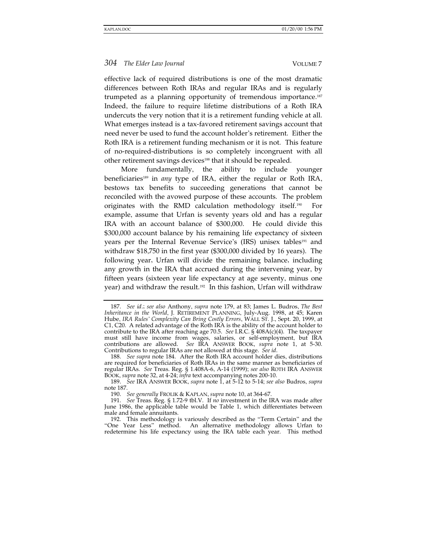effective lack of required distributions is one of the most dramatic differences between Roth IRAs and regular IRAs and is regularly trumpeted as a planning opportunity of tremendous importance.187 Indeed, the failure to require lifetime distributions of a Roth IRA undercuts the very notion that it is a retirement funding vehicle at all. What emerges instead is a tax-favored retirement savings account that need never be used to fund the account holder's retirement. Either the Roth IRA is a retirement funding mechanism or it is not. This feature of no-required-distributions is so completely incongruent with all other retirement savings devices<sup>188</sup> that it should be repealed.

More fundamentally, the ability to include younger beneficiaries<sup>189</sup> in *any* type of IRA, either the regular or Roth IRA, bestows tax benefits to succeeding generations that cannot be reconciled with the avowed purpose of these accounts. The problem originates with the RMD calculation methodology itself.190 For example, assume that Urfan is seventy years old and has a regular IRA with an account balance of \$300,000. He could divide this \$300,000 account balance by his remaining life expectancy of sixteen years per the Internal Revenue Service's (IRS) unisex tables<sup>191</sup> and withdraw \$18,750 in the first year (\$300,000 divided by 16 years). The following year, Urfan will divide the remaining balance, including any growth in the IRA that accrued during the intervening year, by fifteen years (sixteen year life expectancy at age seventy, minus one year) and withdraw the result.<sup>192</sup> In this fashion, Urfan will withdraw

<sup>187.</sup> *See id*.; *see also* Anthony, *supra* note 179, at 83; James L. Budros, *The Best Inheritance in the World*, J. RETIREMENT PLANNING, July-Aug. 1998, at 45; Karen Hube, *IRA Rules' Complexity Can Bring Costly Errors*, WALL ST. J., Sept. 20, 1999, at C1, C20. A related advantage of the Roth IRA is the ability of the account holder to contribute to the IRA after reaching age 70.5. *See* I.R.C. § 408A(c)(4). The taxpayer must still have income from wages, salaries, or self-employment, but IRA contributions are allowed. *See* IRA ANSWER BOOK, *supra* note 1, at 5-30. Contributions to regular IRAs are not allowed at this stage. *See id*.

<sup>188.</sup> *See supra* note 184. After the Roth IRA account holder dies, distributions are required for beneficiaries of Roth IRAs in the same manner as beneficiaries of regular IRAs. *See* Treas. Reg. § 1.408A-6, A-14 (1999); *see also* ROTH IRA ANSWER BOOK, *supra* note 32, at 4-24; *infra* text accompanying notes 200-10.

<sup>189.</sup> *See* IRA ANSWER BOOK, *supra* note 1, at 5-12 to 5-14; *see also* Budros, *supra* note 187.

<sup>190.</sup> *See generally* FROLIK & KAPLAN, *supra* note 10, at 364-67.

<sup>191.</sup> *See* Treas. Reg. § 1.72-9 tbl.V. If *no* investment in the IRA was made after June 1986, the applicable table would be Table 1, which differentiates between male and female annuitants.

<sup>192.</sup> This methodology is variously described as the "Term Certain" and the "One Year Less" method. An alternative methodology allows Urfan to redetermine his life expectancy using the IRA table each year. This method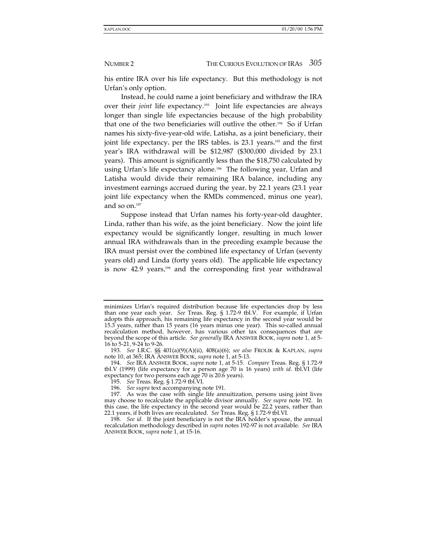his entire IRA over his life expectancy. But this methodology is not Urfan's only option.

Instead, he could name a joint beneficiary and withdraw the IRA over their *joint* life expectancy.193 Joint life expectancies are always longer than single life expectancies because of the high probability that one of the two beneficiaries will outlive the other.194 So if Urfan names his sixty-five-year-old wife, Latisha, as a joint beneficiary, their joint life expectancy, per the IRS tables, is 23.1 years, 195 and the first year's IRA withdrawal will be \$12,987 (\$300,000 divided by 23.1 years). This amount is significantly less than the \$18,750 calculated by using Urfan's life expectancy alone.<sup>196</sup> The following year, Urfan and Latisha would divide their remaining IRA balance, including any investment earnings accrued during the year, by 22.1 years (23.1 year joint life expectancy when the RMDs commenced, minus one year), and so on.197

Suppose instead that Urfan names his forty-year-old daughter, Linda, rather than his wife, as the joint beneficiary. Now the joint life expectancy would be significantly longer, resulting in much lower annual IRA withdrawals than in the preceding example because the IRA must persist over the combined life expectancy of Urfan (seventy years old) and Linda (forty years old). The applicable life expectancy is now 42.9 years,<sup>198</sup> and the corresponding first year withdrawal

194. *See* IRA ANSWER BOOK, *supra* note 1, at 5-15. *Compare* Treas. Reg. § 1.72-9 tbl.V (1999) (life expectancy for a person age 70 is 16 years) *with id.* tbl.VI (life expectancy for two persons each age 70 is 20.6 years).

minimizes Urfan's required distribution because life expectancies drop by less than one year each year. *See* Treas. Reg. § 1.72-9 tbl.V. For example, if Urfan adopts this approach, his remaining life expectancy in the second year would be 15.3 years, rather than 15 years (16 years minus one year). This so-called annual recalculation method, however, has various other tax consequences that are beyond the scope of this article. *See generally* IRA ANSWER BOOK, *supra* note 1, at 5- 16 to 5-21, 9-24 to 9-26.

<sup>193.</sup> *See* I.R.C. §§ 401(a)(9)(A)(ii), 408(a)(6); *see also* FROLIK & KAPLAN, *supra* note 10, at 365; IRA ANSWER BOOK, *supra* note 1, at 5-13.

<sup>195.</sup> *See* Treas. Reg. § 1.72-9 tbl.VI.

<sup>196.</sup> *See supra* text accompanying note 191.

<sup>197.</sup> As was the case with single life annuitization, persons using joint lives may choose to recalculate the applicable divisor annually. *See supra* note 192. In this case, the life expectancy in the second year would be 22.2 years, rather than 22.1 years, if both lives are recalculated. *See* Treas. Reg. § 1.72-9 tbl.VI.

<sup>198.</sup> *See id.* If the joint beneficiary is not the IRA holder's spouse, the annual recalculation methodology described in *supra* notes 192-97 is not available. *See* IRA ANSWER BOOK, *supra* note 1, at 15-16.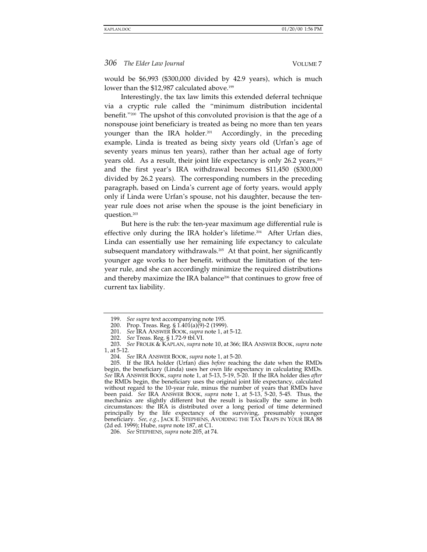would be \$6,993 (\$300,000 divided by 42.9 years), which is much lower than the \$12,987 calculated above.<sup>199</sup>

Interestingly, the tax law limits this extended deferral technique via a cryptic rule called the "minimum distribution incidental benefit."200 The upshot of this convoluted provision is that the age of a nonspouse joint beneficiary is treated as being no more than ten years younger than the IRA holder.<sup>201</sup> Accordingly, in the preceding example, Linda is treated as being sixty years old (Urfan's age of seventy years minus ten years), rather than her actual age of forty years old. As a result, their joint life expectancy is only 26.2 years, 202 and the first year's IRA withdrawal becomes \$11,450 (\$300,000 divided by 26.2 years). The corresponding numbers in the preceding paragraph, based on Linda's current age of forty years, would apply only if Linda were Urfan's spouse, not his daughter, because the tenyear rule does not arise when the spouse is the joint beneficiary in question.203

But here is the rub: the ten-year maximum age differential rule is effective only during the IRA holder's lifetime.<sup>204</sup> After Urfan dies, Linda can essentially use her remaining life expectancy to calculate subsequent mandatory withdrawals.<sup>205</sup> At that point, her significantly younger age works to her benefit, without the limitation of the tenyear rule, and she can accordingly minimize the required distributions and thereby maximize the IRA balance<sup>206</sup> that continues to grow free of current tax liability.

<sup>199.</sup> *See supra* text accompanying note 195.

<sup>200.</sup> Prop. Treas. Reg. § 1.401(a)(9)-2 (1999).

<sup>201.</sup> *See* IRA ANSWER BOOK, *supra* note 1, at 5-12.

<sup>202.</sup> *See* Treas. Reg. § 1.72-9 tbl.VI.

<sup>203.</sup> *See* FROLIK & KAPLAN, *supra* note 10, at 366; IRA ANSWER BOOK, *supra* note 1, at 5-12.

<sup>204.</sup> *See* IRA ANSWER BOOK, *supra* note 1, at 5-20.

<sup>205.</sup> If the IRA holder (Urfan) dies *before* reaching the date when the RMDs begin, the beneficiary (Linda) uses her own life expectancy in calculating RMDs. *See* IRA ANSWER BOOK, *supra* note 1, at 5-13, 5-19, 5-20. If the IRA holder dies *after* the RMDs begin, the beneficiary uses the original joint life expectancy, calculated without regard to the 10-year rule, minus the number of years that RMDs have been paid. *See* IRA ANSWER BOOK, *supra* note 1, at 5-13, 5-20, 5-45. Thus, the mechanics are slightly different but the result is basically the same in both circumstances: the IRA is distributed over a long period of time determined principally by the life expectancy of the surviving, presumably younger beneficiary. *See, e.g.*, JACK E. STEPHENS, AVOIDING THE TAX TRAPS IN YOUR IRA 88 (2d ed. 1999); Hube, *supra* note 187, at C1.

<sup>206.</sup> *See* STEPHENS, *supra* note 205, at 74.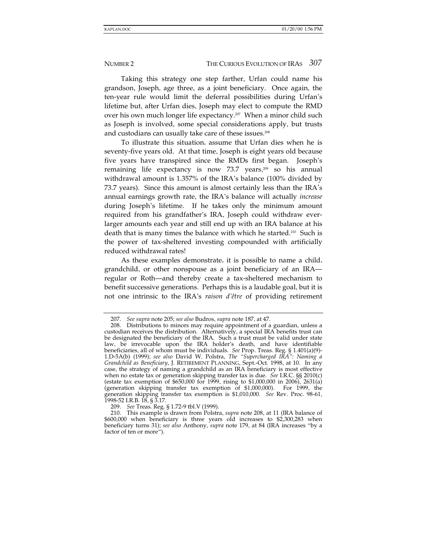Taking this strategy one step farther, Urfan could name his grandson, Joseph, age three, as a joint beneficiary. Once again, the ten-year rule would limit the deferral possibilities during Urfan's lifetime but, after Urfan dies, Joseph may elect to compute the RMD over his own much longer life expectancy.<sup>207</sup> When a minor child such as Joseph is involved, some special considerations apply, but trusts and custodians can usually take care of these issues.<sup>208</sup>

To illustrate this situation, assume that Urfan dies when he is seventy-five years old. At that time, Joseph is eight years old because five years have transpired since the RMDs first began. Joseph's remaining life expectancy is now 73.7 years, 209 so his annual withdrawal amount is 1.357% of the IRA's balance (100% divided by 73.7 years). Since this amount is almost certainly less than the IRA's annual earnings growth rate, the IRA's balance will actually *increase* during Joseph's lifetime. If he takes only the minimum amount required from his grandfather's IRA, Joseph could withdraw everlarger amounts each year and still end up with an IRA balance at his death that is many times the balance with which he started.<sup>210</sup> Such is the power of tax-sheltered investing compounded with artificially reduced withdrawal rates!

As these examples demonstrate, it is possible to name a child, grandchild, or other nonspouse as a joint beneficiary of an IRA regular or Roth—and thereby create a tax-sheltered mechanism to benefit successive generations. Perhaps this is a laudable goal, but it is not one intrinsic to the IRA's *raison d'être* of providing retirement

209. *See* Treas. Reg. § 1.72-9 tbl.V (1999).

<sup>207.</sup> *See supra* note 205; *see also* Budros, *supra* note 187, at 47.

<sup>208.</sup> Distributions to minors may require appointment of a guardian, unless a custodian receives the distribution. Alternatively, a special IRA benefits trust can be designated the beneficiary of the IRA. Such a trust must be valid under state law, be irrevocable upon the IRA holder's death, and have identifiable beneficiaries, all of whom must be individuals. *See* Prop. Treas. Reg. § 1.401(a)(9)- 1.D-5A(b) (1999); *see also* David W. Polstra, *The "Supercharged IRA": Naming a Grandchild as Beneficiary*, J. RETIREMENT PLANNING, Sept.-Oct. 1998, at 10. In any case, the strategy of naming a grandchild as an IRA beneficiary is most effective when no estate tax or generation skipping transfer tax is due. *See* I.R.C. §§ 2010(c) (estate tax exemption of \$650,000 for 1999, rising to \$1,000,000 in 2006), 2631(a) (generation skipping transfer tax exemption of \$1,000,000). For 1999, the generation skipping transfer tax exemption is \$1,010,000. *See* Rev. Proc. 98-61, 1998-52 I.R.B. 18, § 3.17.

<sup>210.</sup> This example is drawn from Polstra, *supra* note 208, at 11 (IRA balance of \$600,000 when beneficiary is three years old increases to \$2,300,283 when beneficiary turns 31); *see also* Anthony, *supra* note 179, at 84 (IRA increases "by a factor of ten or more").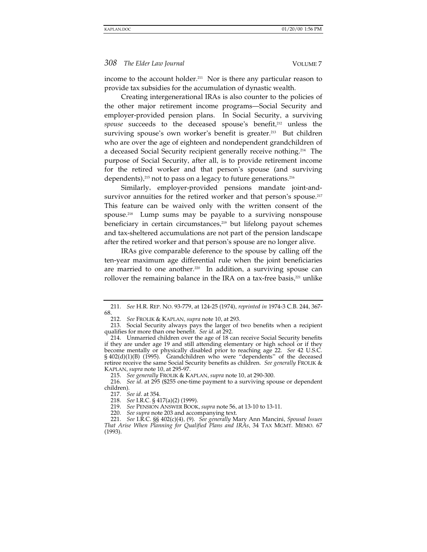income to the account holder.<sup>211</sup> Nor is there any particular reason to provide tax subsidies for the accumulation of dynastic wealth.

Creating intergenerational IRAs is also counter to the policies of the other major retirement income programs—Social Security and employer-provided pension plans. In Social Security, a surviving *spouse* succeeds to the deceased spouse's benefit, 212 unless the surviving spouse's own worker's benefit is greater.<sup>213</sup> But children who are over the age of eighteen and nondependent grandchildren of a deceased Social Security recipient generally receive nothing.214 The purpose of Social Security, after all, is to provide retirement income for the retired worker and that person's spouse (and surviving dependents),<sup>215</sup> not to pass on a legacy to future generations.<sup>216</sup>

Similarly, employer-provided pensions mandate joint-andsurvivor annuities for the retired worker and that person's spouse.<sup>217</sup> This feature can be waived only with the written consent of the spouse.218 Lump sums may be payable to a surviving nonspouse beneficiary in certain circumstances, 219 but lifelong payout schemes and tax-sheltered accumulations are not part of the pension landscape after the retired worker and that person's spouse are no longer alive.

IRAs give comparable deference to the spouse by calling off the ten-year maximum age differential rule when the joint beneficiaries are married to one another.<sup>220</sup> In addition, a surviving spouse can rollover the remaining balance in the IRA on a tax-free basis,<sup>221</sup> unlike

<sup>211.</sup> *See* H.R. REP. NO. 93-779, at 124-25 (1974), *reprinted in* 1974-3 C.B. 244, 367- 68.

<sup>212.</sup> *See* FROLIK & KAPLAN, *supra* note 10, at 293.

<sup>213.</sup> Social Security always pays the larger of two benefits when a recipient qualifies for more than one benefit. *See id*. at 292.

<sup>214.</sup> Unmarried children over the age of 18 can receive Social Security benefits if they are under age 19 and still attending elementary or high school or if they become mentally or physically disabled prior to reaching age 22. *See* 42 U.S.C. § 402(d)(1)(B) (1995). Grandchildren who were "dependents" of the deceased retiree receive the same Social Security benefits as children. *See generally* FROLIK & KAPLAN, *supra* note 10, at 295-97.

<sup>215.</sup> *See generally* FROLIK & KAPLAN, *supra* note 10, at 290-300.

<sup>216.</sup> *See id*. at 295 (\$255 one-time payment to a surviving spouse or dependent children).

<sup>217.</sup> *See id*. at 354.

See I.R.C. § 417(a)(2) (1999).

<sup>219.</sup> *See* PENSION ANSWER BOOK, *supra* note 56, at 13-10 to 13-11.

<sup>220.</sup> *See supra* note 203 and accompanying text.

<sup>221.</sup> *See* I.R.C. §§ 402(c)(4), (9). *See generally* Mary Ann Mancini, *Spousal Issues That Arise When Planning for Qualified Plans and IRAs*, 34 TAX MGMT. MEMO. 67 (1993).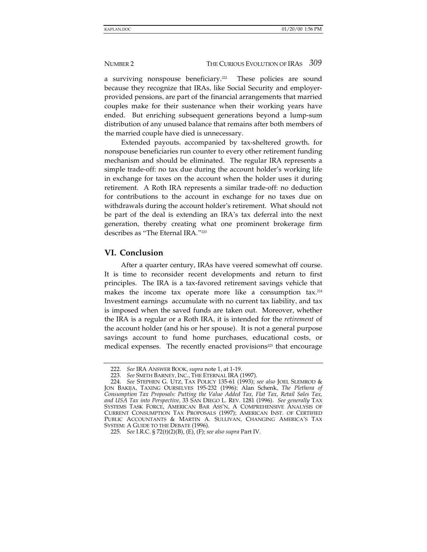a surviving nonspouse beneficiary.<sup>222</sup> These policies are sound because they recognize that IRAs, like Social Security and employerprovided pensions, are part of the financial arrangements that married couples make for their sustenance when their working years have ended. But enriching subsequent generations beyond a lump-sum distribution of any unused balance that remains after both members of the married couple have died is unnecessary.

Extended payouts, accompanied by tax-sheltered growth, for nonspouse beneficiaries run counter to every other retirement funding mechanism and should be eliminated. The regular IRA represents a simple trade-off: no tax due during the account holder's working life in exchange for taxes on the account when the holder uses it during retirement. A Roth IRA represents a similar trade-off: no deduction for contributions to the account in exchange for no taxes due on withdrawals during the account holder's retirement. What should not be part of the deal is extending an IRA's tax deferral into the next generation, thereby creating what one prominent brokerage firm describes as "The Eternal IRA."<sup>223</sup>

## **VI. Conclusion**

After a quarter century, IRAs have veered somewhat off course. It is time to reconsider recent developments and return to first principles. The IRA is a tax-favored retirement savings vehicle that makes the income tax operate more like a consumption tax. $224$ Investment earnings accumulate with no current tax liability, and tax is imposed when the saved funds are taken out. Moreover, whether the IRA is a regular or a Roth IRA, it is intended for the *retirement* of the account holder (and his or her spouse). It is not a general purpose savings account to fund home purchases, educational costs, or medical expenses. The recently enacted provisions<sup> $225$ </sup> that encourage

<sup>222.</sup> *See* IRA ANSWER BOOK, *supra* note 1, at 1-19.

<sup>223.</sup> *See* SMITH BARNEY, INC., THE ETERNAL IRA (1997).

<sup>224.</sup> *See* STEPHEN G. UTZ, TAX POLICY 135-61 (1993); *see also* JOEL SLEMROD & JON BAKIJA, TAXING OURSELVES 195-232 (1996); Alan Schenk, *The Plethora of Consumption Tax Proposals: Putting the Value Added Tax, Flat Tax, Retail Sales Tax, and USA Tax into Perspective*, 33 SAN DIEGO L. REV. 1281 (1996). *See generally* TAX SYSTEMS TASK FORCE, AMERICAN BAR ASS'N, A COMPREHENSIVE ANALYSIS OF CURRENT CONSUMPTION TAX PROPOSALS (1997); AMERICAN INST. OF CERTIFIED PUBLIC ACCOUNTANTS & MARTIN A. SULLIVAN, CHANGING AMERICA'S TAX SYSTEM: A GUIDE TO THE DEBATE (1996).

<sup>225.</sup> *See* I.R.C. § 72(t)(2)(B), (E), (F); *see also supra* Part IV.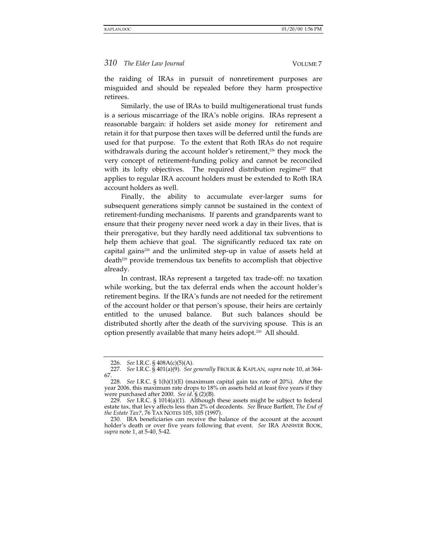the raiding of IRAs in pursuit of nonretirement purposes are misguided and should be repealed before they harm prospective retirees.

Similarly, the use of IRAs to build multigenerational trust funds is a serious miscarriage of the IRA's noble origins. IRAs represent a reasonable bargain: if holders set aside money for retirement and retain it for that purpose then taxes will be deferred until the funds are used for that purpose. To the extent that Roth IRAs do not require withdrawals during the account holder's retirement, 226 they mock the very concept of retirement-funding policy and cannot be reconciled with its lofty objectives. The required distribution regime<sup>227</sup> that applies to regular IRA account holders must be extended to Roth IRA account holders as well.

Finally, the ability to accumulate ever-larger sums for subsequent generations simply cannot be sustained in the context of retirement-funding mechanisms. If parents and grandparents want to ensure that their progeny never need work a day in their lives, that is their prerogative, but they hardly need additional tax subventions to help them achieve that goal. The significantly reduced tax rate on capital gains<sup>228</sup> and the unlimited step-up in value of assets held at death229 provide tremendous tax benefits to accomplish that objective already.

In contrast, IRAs represent a targeted tax trade-off: no taxation while working, but the tax deferral ends when the account holder's retirement begins. If the IRA's funds are not needed for the retirement of the account holder or that person's spouse, their heirs are certainly entitled to the unused balance. But such balances should be distributed shortly after the death of the surviving spouse. This is an option presently available that many heirs adopt.<sup>230</sup> All should.

<sup>226.</sup> *See* I.R.C. § 408A(c)(5)(A).

<sup>227.</sup> *See* I.R.C. § 401(a)(9). *See generally* FROLIK & KAPLAN*, supra* note 10, at 364-  $^{67}$ .

See I.R.C. § 1(h)(1)(E) (maximum capital gain tax rate of 20%). After the year 2006, this maximum rate drops to 18% on assets held at least five years if they were purchased after 2000. *See id*. § (2)(B).

<sup>229.</sup> *See* I.R.C. § 1014(a)(1). Although these assets might be subject to federal estate tax, that levy affects less than 2% of decedents. *See* Bruce Bartlett, *The End of the Estate Tax?*, 76 TAX NOTES 105, 105 (1997).

<sup>230.</sup> IRA beneficiaries can receive the balance of the account at the account holder's death or over five years following that event. *See* IRA ANSWER BOOK, *supra* note 1, at 5-40, 5-42.